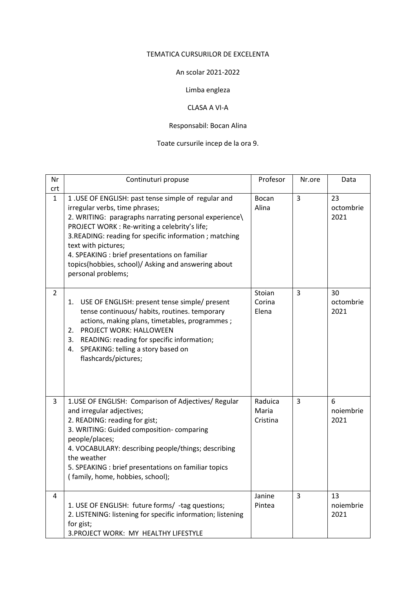### TEMATICA CURSURILOR DE EXCELENTA

### An scolar 2021-2022

# Limba engleza

### CLASA A VI-A

## Responsabil: Bocan Alina

# Toate cursurile incep de la ora 9.

| Nr<br>crt      | Continuturi propuse                                                                                                                                                                                                                                                                                                                                                                                            | Profesor                     | Nr.ore         | Data                    |
|----------------|----------------------------------------------------------------------------------------------------------------------------------------------------------------------------------------------------------------------------------------------------------------------------------------------------------------------------------------------------------------------------------------------------------------|------------------------------|----------------|-------------------------|
| $\mathbf{1}$   | 1. USE OF ENGLISH: past tense simple of regular and<br>irregular verbs, time phrases;<br>2. WRITING: paragraphs narrating personal experience\<br>PROJECT WORK : Re-writing a celebrity's life;<br>3.READING: reading for specific information ; matching<br>text with pictures;<br>4. SPEAKING : brief presentations on familiar<br>topics(hobbies, school)/ Asking and answering about<br>personal problems; | Bocan<br>Alina               | 3              | 23<br>octombrie<br>2021 |
| $\overline{2}$ | USE OF ENGLISH: present tense simple/ present<br>1.<br>tense continuous/ habits, routines. temporary<br>actions, making plans, timetables, programmes;<br>PROJECT WORK: HALLOWEEN<br>2.<br>READING: reading for specific information;<br>3.<br>SPEAKING: telling a story based on<br>4.<br>flashcards/pictures;                                                                                                | Stoian<br>Corina<br>Elena    | 3              | 30<br>octombrie<br>2021 |
| 3              | 1.USE OF ENGLISH: Comparison of Adjectives/ Regular<br>and irregular adjectives;<br>2. READING: reading for gist;<br>3. WRITING: Guided composition-comparing<br>people/places;<br>4. VOCABULARY: describing people/things; describing<br>the weather<br>5. SPEAKING : brief presentations on familiar topics<br>(family, home, hobbies, school);                                                              | Raduica<br>Maria<br>Cristina | $\overline{3}$ | 6<br>noiembrie<br>2021  |
| 4              | 1. USE OF ENGLISH: future forms/ -tag questions;<br>2. LISTENING: listening for specific information; listening<br>for gist;<br>3. PROJECT WORK: MY HEALTHY LIFESTYLE                                                                                                                                                                                                                                          | Janine<br>Pintea             | 3              | 13<br>noiembrie<br>2021 |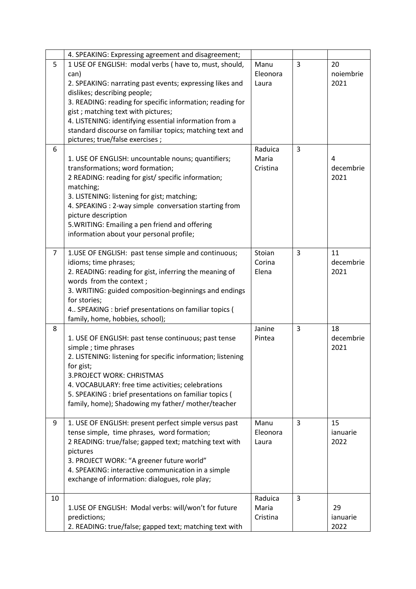|                | 4. SPEAKING: Expressing agreement and disagreement;                                                                                                                                                                                                                                                                                                                                                                    |                              |                |                         |
|----------------|------------------------------------------------------------------------------------------------------------------------------------------------------------------------------------------------------------------------------------------------------------------------------------------------------------------------------------------------------------------------------------------------------------------------|------------------------------|----------------|-------------------------|
| 5              | 1 USE OF ENGLISH: modal verbs (have to, must, should,<br>can)<br>2. SPEAKING: narrating past events; expressing likes and<br>dislikes; describing people;<br>3. READING: reading for specific information; reading for<br>gist; matching text with pictures;<br>4. LISTENING: identifying essential information from a<br>standard discourse on familiar topics; matching text and<br>pictures; true/false exercises ; | Manu<br>Eleonora<br>Laura    | $\overline{3}$ | 20<br>noiembrie<br>2021 |
| 6              | 1. USE OF ENGLISH: uncountable nouns; quantifiers;<br>transformations; word formation;<br>2 READING: reading for gist/ specific information;<br>matching;<br>3. LISTENING: listening for gist; matching;<br>4. SPEAKING : 2-way simple conversation starting from<br>picture description<br>5. WRITING: Emailing a pen friend and offering<br>information about your personal profile;                                 | Raduica<br>Maria<br>Cristina | 3              | 4<br>decembrie<br>2021  |
| $\overline{7}$ | 1.USE OF ENGLISH: past tense simple and continuous;<br>idioms; time phrases;<br>2. READING: reading for gist, inferring the meaning of<br>words from the context;<br>3. WRITING: guided composition-beginnings and endings<br>for stories;<br>4 SPEAKING : brief presentations on familiar topics (<br>family, home, hobbies, school);                                                                                 | Stoian<br>Corina<br>Elena    | 3              | 11<br>decembrie<br>2021 |
| 8              | 1. USE OF ENGLISH: past tense continuous; past tense<br>simple; time phrases<br>2. LISTENING: listening for specific information; listening<br>for gist;<br>3. PROJECT WORK: CHRISTMAS<br>4. VOCABULARY: free time activities; celebrations<br>5. SPEAKING : brief presentations on familiar topics (<br>family, home); Shadowing my father/ mother/teacher                                                            | Janine<br>Pintea             | 3              | 18<br>decembrie<br>2021 |
| 9              | 1. USE OF ENGLISH: present perfect simple versus past<br>tense simple, time phrases, word formation;<br>2 READING: true/false; gapped text; matching text with<br>pictures<br>3. PROJECT WORK: "A greener future world"<br>4. SPEAKING: interactive communication in a simple<br>exchange of information: dialogues, role play;                                                                                        | Manu<br>Eleonora<br>Laura    | 3              | 15<br>ianuarie<br>2022  |
| 10             | 1.USE OF ENGLISH: Modal verbs: will/won't for future<br>predictions;<br>2. READING: true/false; gapped text; matching text with                                                                                                                                                                                                                                                                                        | Raduica<br>Maria<br>Cristina | 3              | 29<br>ianuarie<br>2022  |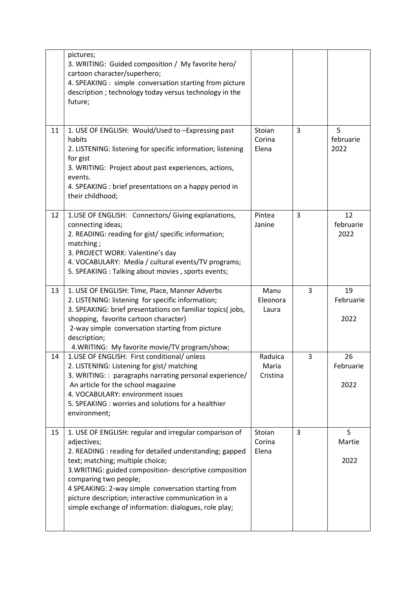|    | pictures;<br>3. WRITING: Guided composition / My favorite hero/<br>cartoon character/superhero;<br>4. SPEAKING : simple conversation starting from picture<br>description; technology today versus technology in the<br>future;                                                                                                                                                                                                 |                              |   |                         |
|----|---------------------------------------------------------------------------------------------------------------------------------------------------------------------------------------------------------------------------------------------------------------------------------------------------------------------------------------------------------------------------------------------------------------------------------|------------------------------|---|-------------------------|
| 11 | 1. USE OF ENGLISH: Would/Used to -Expressing past<br>habits<br>2. LISTENING: listening for specific information; listening<br>for gist<br>3. WRITING: Project about past experiences, actions,<br>events.<br>4. SPEAKING : brief presentations on a happy period in<br>their childhood;                                                                                                                                         | Stoian<br>Corina<br>Elena    | 3 | 5<br>februarie<br>2022  |
| 12 | 1.USE OF ENGLISH: Connectors/ Giving explanations,<br>connecting ideas;<br>2. READING: reading for gist/ specific information;<br>matching;<br>3. PROJECT WORK: Valentine's day<br>4. VOCABULARY: Media / cultural events/TV programs;<br>5. SPEAKING : Talking about movies, sports events;                                                                                                                                    | Pintea<br>Janine             | 3 | 12<br>februarie<br>2022 |
| 13 | 1. USE OF ENGLISH: Time, Place, Manner Adverbs<br>2. LISTENING: listening for specific information;<br>3. SPEAKING: brief presentations on familiar topics(jobs,<br>shopping, favorite cartoon character)<br>2-way simple conversation starting from picture<br>description;<br>4. WRITING: My favorite movie/TV program/show;                                                                                                  | Manu<br>Eleonora<br>Laura    | 3 | 19<br>Februarie<br>2022 |
| 14 | 1.USE OF ENGLISH: First conditional/ unless<br>2. LISTENING: Listening for gist/ matching<br>3. WRITING:: paragraphs narrating personal experience/<br>An article for the school magazine<br>4. VOCABULARY: environment issues<br>5. SPEAKING: worries and solutions for a healthier<br>environment;                                                                                                                            | Raduica<br>Maria<br>Cristina | 3 | 26<br>Februarie<br>2022 |
| 15 | 1. USE OF ENGLISH: regular and irregular comparison of<br>adjectives;<br>2. READING : reading for detailed understanding; gapped<br>text; matching; multiple choice;<br>3. WRITING: guided composition- descriptive composition<br>comparing two people;<br>4 SPEAKING: 2-way simple conversation starting from<br>picture description; interactive communication in a<br>simple exchange of information: dialogues, role play; | Stoian<br>Corina<br>Elena    | 3 | 5<br>Martie<br>2022     |